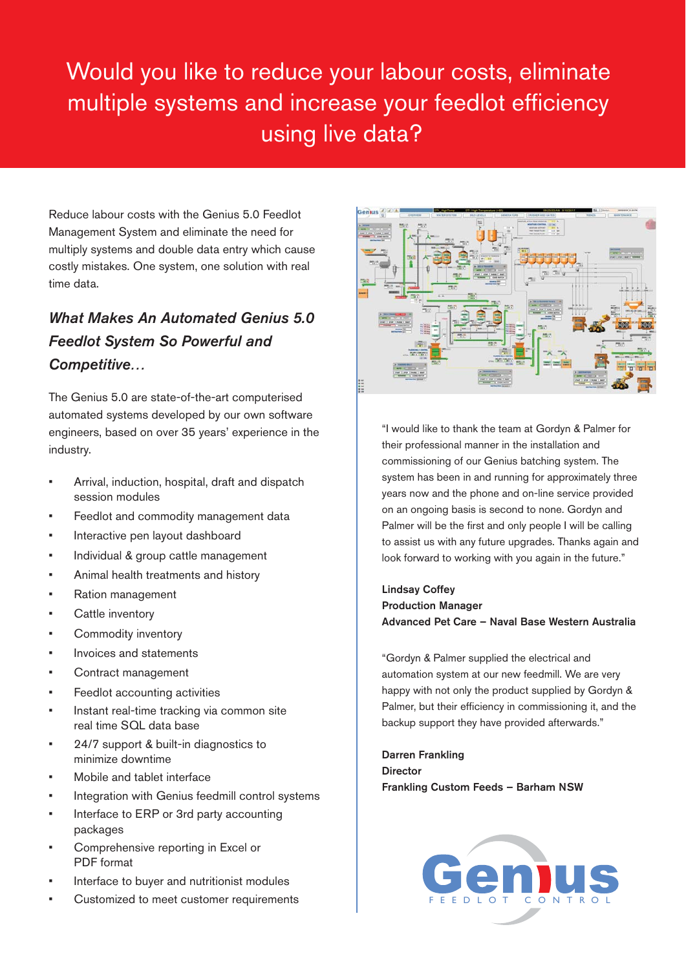## Would you like to reduce your labour costs, eliminate multiple systems and increase your feedlot efficiency using live data?

Reduce labour costs with the Genius 5.0 Feedlot Management System and eliminate the need for multiply systems and double data entry which cause costly mistakes. One system, one solution with real time data.

## *What Makes An Automated Genius 5.0 Feedlot System So Powerful and Competitive…*

The Genius 5.0 are state-of-the-art computerised automated systems developed by our own software engineers, based on over 35 years' experience in the industry.

- Arrival, induction, hospital, draft and dispatch session modules
- Feedlot and commodity management data
- Interactive pen layout dashboard
- Individual & group cattle management
- Animal health treatments and history
- Ration management
- Cattle inventory
- Commodity inventory
- Invoices and statements
- Contract management
- Feedlot accounting activities
- Instant real-time tracking via common site real time SQL data base
- 24/7 support & built-in diagnostics to minimize downtime
- Mobile and tablet interface
- Integration with Genius feedmill control systems
- Interface to ERP or 3rd party accounting packages
- Comprehensive reporting in Excel or PDF format
- Interface to buyer and nutritionist modules
- Customized to meet customer requirements FEEDLOT CONTRO



"I would like to thank the team at Gordyn & Palmer for their professional manner in the installation and commissioning of our Genius batching system. The system has been in and running for approximately three years now and the phone and on-line service provided on an ongoing basis is second to none. Gordyn and Palmer will be the first and only people I will be calling to assist us with any future upgrades. Thanks again and look forward to working with you again in the future."

Lindsay Coffey Production Manager Advanced Pet Care – Naval Base Western Australia

"Gordyn & Palmer supplied the electrical and automation system at our new feedmill. We are very happy with not only the product supplied by Gordyn & Palmer, but their efficiency in commissioning it, and the backup support they have provided afterwards."

Darren Frankling **Director** Frankling Custom Feeds – Barham NSW